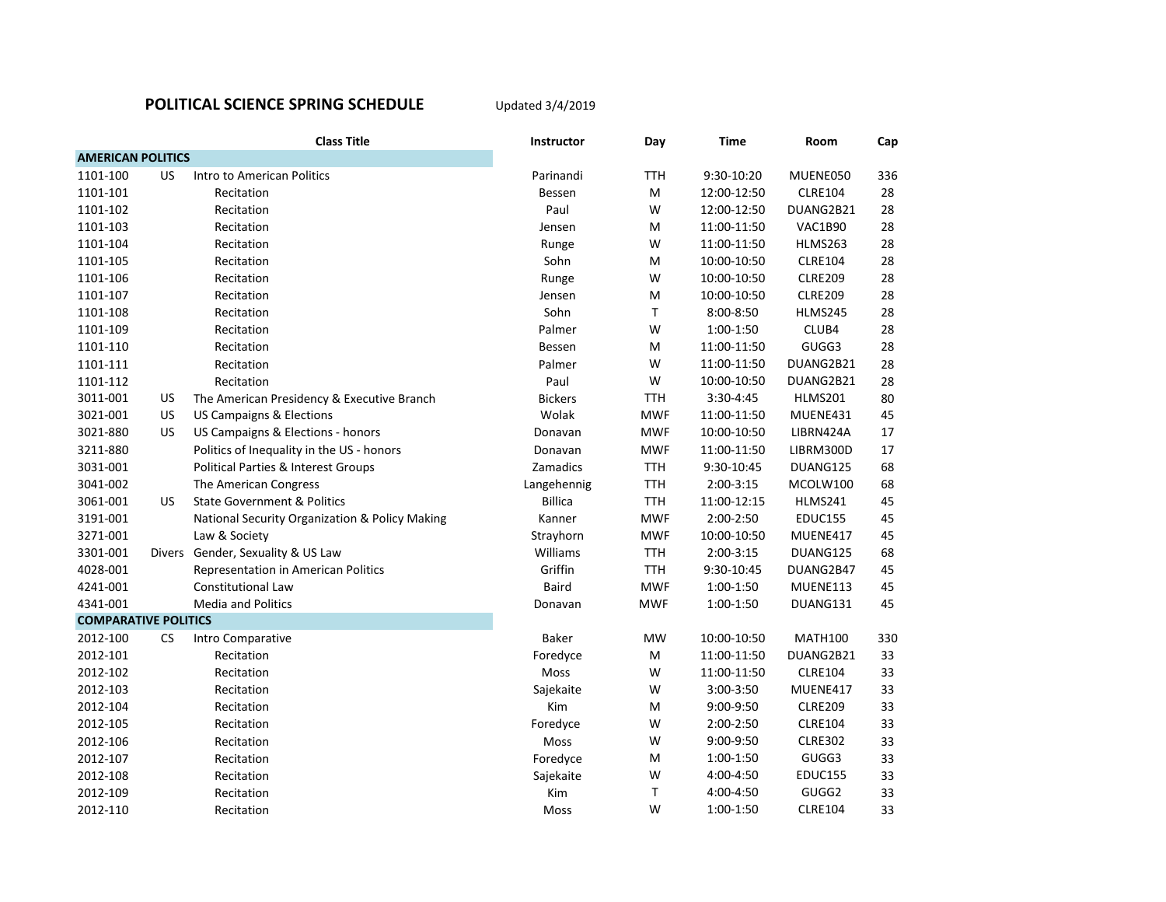## **POLITICAL SCIENCE SPRING SCHEDULE**

Updated 3/4/2019

|                             |           | <b>Class Title</b>                             | <b>Instructor</b> | Day        | <b>Time</b> | Room           | Cap |
|-----------------------------|-----------|------------------------------------------------|-------------------|------------|-------------|----------------|-----|
| <b>AMERICAN POLITICS</b>    |           |                                                |                   |            |             |                |     |
| 1101-100                    | <b>US</b> | Intro to American Politics                     | Parinandi         | <b>TTH</b> | 9:30-10:20  | MUENE050       | 336 |
| 1101-101                    |           | Recitation                                     | Bessen            | M          | 12:00-12:50 | <b>CLRE104</b> | 28  |
| 1101-102                    |           | Recitation                                     | Paul              | W          | 12:00-12:50 | DUANG2B21      | 28  |
| 1101-103                    |           | Recitation                                     | Jensen            | M          | 11:00-11:50 | VAC1B90        | 28  |
| 1101-104                    |           | Recitation                                     | Runge             | W          | 11:00-11:50 | HLMS263        | 28  |
| 1101-105                    |           | Recitation                                     | Sohn              | M          | 10:00-10:50 | <b>CLRE104</b> | 28  |
| 1101-106                    |           | Recitation                                     | Runge             | W          | 10:00-10:50 | <b>CLRE209</b> | 28  |
| 1101-107                    |           | Recitation                                     | Jensen            | M          | 10:00-10:50 | <b>CLRE209</b> | 28  |
| 1101-108                    |           | Recitation                                     | Sohn              | Τ          | 8:00-8:50   | <b>HLMS245</b> | 28  |
| 1101-109                    |           | Recitation                                     | Palmer            | W          | 1:00-1:50   | CLUB4          | 28  |
| 1101-110                    |           | Recitation                                     | Bessen            | M          | 11:00-11:50 | GUGG3          | 28  |
| 1101-111                    |           | Recitation                                     | Palmer            | W          | 11:00-11:50 | DUANG2B21      | 28  |
| 1101-112                    |           | Recitation                                     | Paul              | W          | 10:00-10:50 | DUANG2B21      | 28  |
| 3011-001                    | <b>US</b> | The American Presidency & Executive Branch     | <b>Bickers</b>    | <b>TTH</b> | 3:30-4:45   | HLMS201        | 80  |
| 3021-001                    | <b>US</b> | <b>US Campaigns &amp; Elections</b>            | Wolak             | <b>MWF</b> | 11:00-11:50 | MUENE431       | 45  |
| 3021-880                    | <b>US</b> | US Campaigns & Elections - honors              | Donavan           | <b>MWF</b> | 10:00-10:50 | LIBRN424A      | 17  |
| 3211-880                    |           | Politics of Inequality in the US - honors      | Donavan           | <b>MWF</b> | 11:00-11:50 | LIBRM300D      | 17  |
| 3031-001                    |           | Political Parties & Interest Groups            | Zamadics          | <b>TTH</b> | 9:30-10:45  | DUANG125       | 68  |
| 3041-002                    |           | The American Congress                          | Langehennig       | <b>TTH</b> | $2:00-3:15$ | MCOLW100       | 68  |
| 3061-001                    | US.       | <b>State Government &amp; Politics</b>         | <b>Billica</b>    | <b>TTH</b> | 11:00-12:15 | HLMS241        | 45  |
| 3191-001                    |           | National Security Organization & Policy Making | Kanner            | <b>MWF</b> | 2:00-2:50   | <b>EDUC155</b> | 45  |
| 3271-001                    |           | Law & Society                                  | Strayhorn         | <b>MWF</b> | 10:00-10:50 | MUENE417       | 45  |
| 3301-001                    |           | Divers Gender, Sexuality & US Law              | Williams          | <b>TTH</b> | $2:00-3:15$ | DUANG125       | 68  |
| 4028-001                    |           | Representation in American Politics            | Griffin           | <b>TTH</b> | 9:30-10:45  | DUANG2B47      | 45  |
| 4241-001                    |           | Constitutional Law                             | <b>Baird</b>      | <b>MWF</b> | $1:00-1:50$ | MUENE113       | 45  |
| 4341-001                    |           | <b>Media and Politics</b>                      | Donavan           | <b>MWF</b> | $1:00-1:50$ | DUANG131       | 45  |
| <b>COMPARATIVE POLITICS</b> |           |                                                |                   |            |             |                |     |
| 2012-100                    | <b>CS</b> | Intro Comparative                              | Baker             | MW         | 10:00-10:50 | <b>MATH100</b> | 330 |
| 2012-101                    |           | Recitation                                     | Foredyce          | M          | 11:00-11:50 | DUANG2B21      | 33  |
| 2012-102                    |           | Recitation                                     | Moss              | W          | 11:00-11:50 | <b>CLRE104</b> | 33  |
| 2012-103                    |           | Recitation                                     | Sajekaite         | W          | 3:00-3:50   | MUENE417       | 33  |
| 2012-104                    |           | Recitation                                     | Kim               | M          | 9:00-9:50   | <b>CLRE209</b> | 33  |
| 2012-105                    |           | Recitation                                     | Foredyce          | W          | 2:00-2:50   | <b>CLRE104</b> | 33  |
| 2012-106                    |           | Recitation                                     | Moss              | W          | 9:00-9:50   | <b>CLRE302</b> | 33  |
| 2012-107                    |           | Recitation                                     | Foredyce          | M          | 1:00-1:50   | GUGG3          | 33  |
| 2012-108                    |           | Recitation                                     | Sajekaite         | W          | 4:00-4:50   | <b>EDUC155</b> | 33  |
| 2012-109                    |           | Recitation                                     | Kim               | Τ          | 4:00-4:50   | GUGG2          | 33  |
| 2012-110                    |           | Recitation                                     | Moss              | W          | 1:00-1:50   | <b>CLRE104</b> | 33  |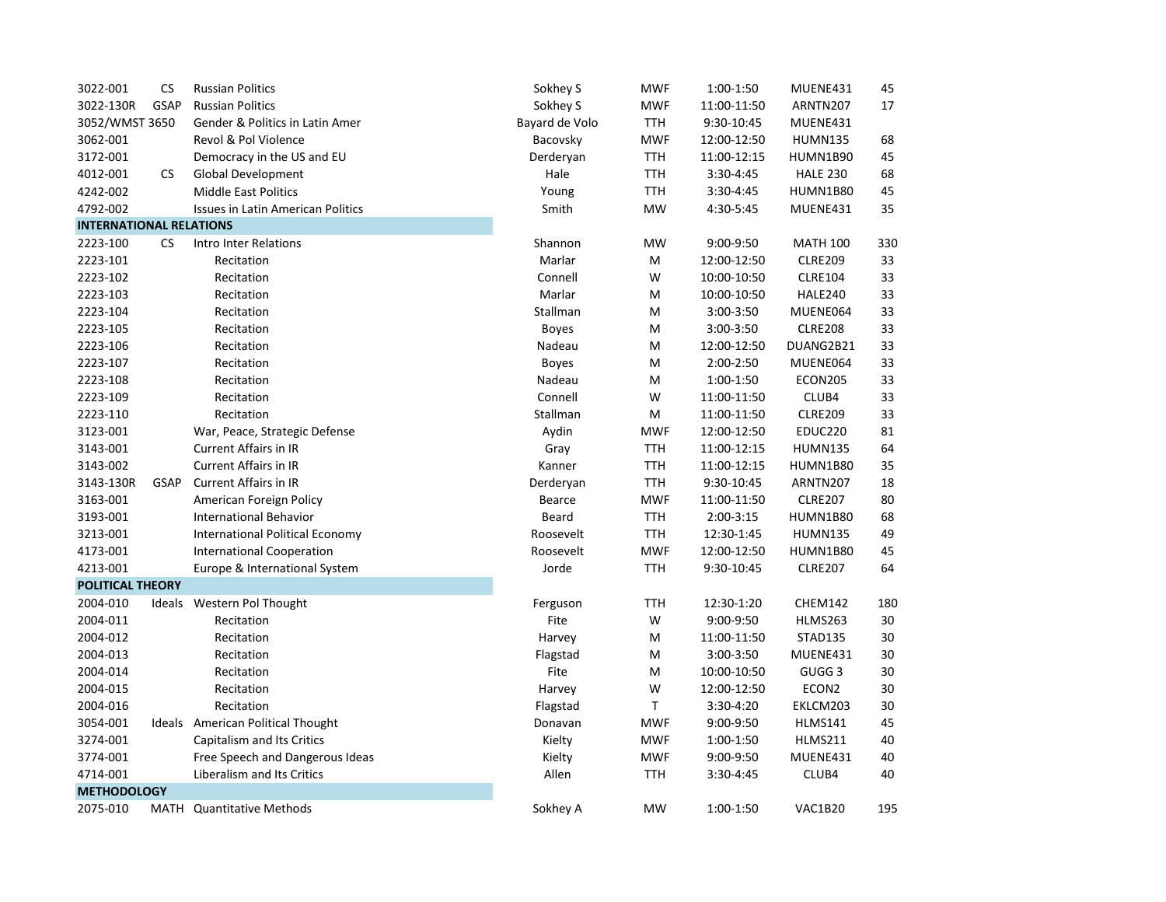| 3022-001                       | <b>CS</b>   | <b>Russian Politics</b>                  | Sokhey S       | <b>MWF</b> | 1:00-1:50     | MUENE431          | 45     |
|--------------------------------|-------------|------------------------------------------|----------------|------------|---------------|-------------------|--------|
| 3022-130R                      | <b>GSAP</b> | <b>Russian Politics</b>                  | Sokhey S       | <b>MWF</b> | 11:00-11:50   | ARNTN207          | 17     |
| 3052/WMST 3650                 |             | Gender & Politics in Latin Amer          | Bayard de Volo | TTH        | 9:30-10:45    | MUENE431          |        |
| 3062-001                       |             | Revol & Pol Violence                     | Bacovsky       | <b>MWF</b> | 12:00-12:50   | <b>HUMN135</b>    | 68     |
| 3172-001                       |             | Democracy in the US and EU               | Derderyan      | TTH        | 11:00-12:15   | HUMN1B90          | 45     |
| 4012-001                       | <b>CS</b>   | <b>Global Development</b>                | Hale           | <b>TTH</b> | 3:30-4:45     | <b>HALE 230</b>   | 68     |
| 4242-002                       |             | <b>Middle East Politics</b>              | Young          | <b>TTH</b> | 3:30-4:45     | HUMN1B80          | 45     |
| 4792-002                       |             | <b>Issues in Latin American Politics</b> | Smith          | MW         | 4:30-5:45     | MUENE431          | 35     |
| <b>INTERNATIONAL RELATIONS</b> |             |                                          |                |            |               |                   |        |
| 2223-100                       | <b>CS</b>   | <b>Intro Inter Relations</b>             | Shannon        | MW         | 9:00-9:50     | <b>MATH 100</b>   | 330    |
| 2223-101                       |             | Recitation                               | Marlar         | M          | 12:00-12:50   | <b>CLRE209</b>    | 33     |
| 2223-102                       |             | Recitation                               | Connell        | W          | 10:00-10:50   | <b>CLRE104</b>    | 33     |
| 2223-103                       |             | Recitation                               | Marlar         | M          | 10:00-10:50   | HALE240           | 33     |
| 2223-104                       |             | Recitation                               | Stallman       | M          | 3:00-3:50     | MUENE064          | 33     |
| 2223-105                       |             | Recitation                               | <b>Boyes</b>   | M          | 3:00-3:50     | <b>CLRE208</b>    | 33     |
| 2223-106                       |             | Recitation                               | Nadeau         | M          | 12:00-12:50   | DUANG2B21         | 33     |
| 2223-107                       |             | Recitation                               | <b>Boyes</b>   | M          | 2:00-2:50     | MUENE064          | 33     |
| 2223-108                       |             | Recitation                               | Nadeau         | M          | 1:00-1:50     | ECON205           | 33     |
| 2223-109                       |             | Recitation                               | Connell        | W          | 11:00-11:50   | CLUB4             | 33     |
| 2223-110                       |             | Recitation                               | Stallman       | M          | 11:00-11:50   | <b>CLRE209</b>    | 33     |
| 3123-001                       |             | War, Peace, Strategic Defense            | Aydin          | <b>MWF</b> | 12:00-12:50   | <b>EDUC220</b>    | 81     |
| 3143-001                       |             | <b>Current Affairs in IR</b>             | Gray           | <b>TTH</b> | 11:00-12:15   | <b>HUMN135</b>    | 64     |
| 3143-002                       |             | <b>Current Affairs in IR</b>             | Kanner         | TTH        | 11:00-12:15   | HUMN1B80          | 35     |
| 3143-130R                      | <b>GSAP</b> | <b>Current Affairs in IR</b>             | Derderyan      | TTH        | 9:30-10:45    | ARNTN207          | 18     |
| 3163-001                       |             | American Foreign Policy                  | <b>Bearce</b>  | <b>MWF</b> | 11:00-11:50   | <b>CLRE207</b>    | 80     |
| 3193-001                       |             | <b>International Behavior</b>            | Beard          | <b>TTH</b> | $2:00-3:15$   | <b>HUMN1B80</b>   | 68     |
| 3213-001                       |             | International Political Economy          | Roosevelt      | TTH        | 12:30-1:45    | <b>HUMN135</b>    | 49     |
| 4173-001                       |             | <b>International Cooperation</b>         | Roosevelt      | <b>MWF</b> | 12:00-12:50   | HUMN1B80          | 45     |
| 4213-001                       |             | Europe & International System            | Jorde          | TTH        | 9:30-10:45    | <b>CLRE207</b>    | 64     |
| <b>POLITICAL THEORY</b>        |             |                                          |                |            |               |                   |        |
| 2004-010                       | Ideals      | Western Pol Thought                      | Ferguson       | <b>TTH</b> | 12:30-1:20    | CHEM142           | 180    |
| 2004-011                       |             | Recitation                               | Fite           | W          | 9:00-9:50     | HLMS263           | 30     |
| 2004-012                       |             | Recitation                               | Harvey         | M          | 11:00-11:50   | <b>STAD135</b>    | 30     |
| 2004-013                       |             | Recitation                               | Flagstad       | M          | 3:00-3:50     | MUENE431          | 30     |
| 2004-014                       |             | Recitation                               | Fite           | M          | 10:00-10:50   | GUGG <sub>3</sub> | 30     |
| 2004-015                       |             | Recitation                               | Harvey         | W          | 12:00-12:50   | ECON2             | 30     |
| 2004-016                       |             | Recitation                               | Flagstad       | Τ          | 3:30-4:20     | EKLCM203          | $30\,$ |
| 3054-001                       |             | Ideals American Political Thought        | Donavan        | <b>MWF</b> | 9:00-9:50     | <b>HLMS141</b>    | 45     |
| 3274-001                       |             | Capitalism and Its Critics               | Kielty         | <b>MWF</b> | 1:00-1:50     | <b>HLMS211</b>    | 40     |
| 3774-001                       |             | Free Speech and Dangerous Ideas          | Kielty         | <b>MWF</b> | 9:00-9:50     | MUENE431          | 40     |
| 4714-001                       |             | <b>Liberalism and Its Critics</b>        | Allen          | <b>TTH</b> | $3:30 - 4:45$ | CLUB4             | 40     |
| <b>METHODOLOGY</b>             |             |                                          |                |            |               |                   |        |
| 2075-010                       | MATH        | <b>Quantitative Methods</b>              | Sokhey A       | MW         | 1:00-1:50     | VAC1B20           | 195    |